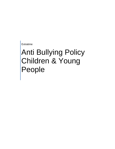Extratime

# Anti Bullying Policy Children & Young People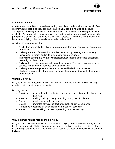

## **Statement of Intent**

extratime are committed to providing a caring, friendly and safe environment for all of our children/young people so they can participate in activities in a relaxed and secure atmosphere. Bullying of any kind is unacceptable at the projects. If bullying does occur, all children/young people should be able to tell and know that incidents will be dealt with promptly and effectively. extratime is a *TELLING* project. This means that *anyone* who knows that bullying is happening is expected to tell the staff.

At extratime we recognise that -

- All children are entitled to play in an environment free from humiliation, oppression and abuse.
- Bullying is a form of cruelty that includes name calling, teasing, and punching, intimidation, extortion and in its extreme maiming or murder.
- The victims suffer physical & psychological abuse leading to feelings of isolation, insecurity, anxiety & fear.
- Bullies often feel insecure & inadequate themselves. They need to achieve some success to make them feel good about themselves.
- Bullying affects everyone, not just the bullies and bullied. It also affects children/young people who witness incidents; they may be drawn into the taunting and tormenting.

# **What Is Bullying?**

Bullying is the use of aggression with the intention of hurting another person. Bullying results in pain and distress to the victim.

Bullying can be:

- Emotional being unfriendly, excluding, tormenting (e.g. hiding books, threatening gestures)
- Physical pushing, kicking, hitting, punching or any use of violence
- Racist racial taunts, graffiti, gestures
- Sexual unwanted physical contact or sexually abusive comments
- Homophobic because of, or focussing on the issue of sexuality
- Verbal name-calling, sarcasm, spreading rumours, teasing

### **Why is it important to respond to bullying?**

Bullying hurts. No one deserves to be a victim of bullying. Everybody has the right to be treated with respect. Children/young people who are bullying need to learn different ways of behaving. extratime has a responsibility to respond promptly and effectively to issues of bullying.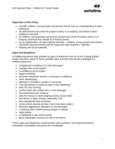

# **Objectives of this Policy**

- All staff, children, young people and parents should have an understanding of what bullying is.
- All staff should know what the project's policy is on bullying, and follow it when bullying is reported.
- All children, young people and parents should know what the project policy is on bullying, and what they should do if bullying arises.
- As an organisation, we take bullying seriously. Children, young people and parents should be assured that they will be supported when bullying is reported.
- Bullying will not be tolerated.

# **Signs and Symptoms**

A child/young person may indicate by signs or behaviour that he or she is being bullied. Adults should be aware of these possible signs and that they should investigate if a child/young person:

- is frightened of walking to or from the project
- changes their usual routine
- is unwilling to go to project
- begins truanting
- becomes withdrawn anxious, or lacking in confidence
- starts stammering
- attempts or threatens suicide or runs away
- cries themselves to sleep at night or has nightmares
- $\bullet$  feels ill in the morning
- comes home with clothes torn or toys damaged
- has possessions go "missing"
- asks for money or starts stealing money (to pay bully)
- has dinner or other monies continually "lost"
- has unexplained cuts or bruises
- comes home starving (money / lunch has been stolen)
- becomes aggressive, disruptive or unreasonable
- is bullying other children/young people or siblings
- stops eating
- is frightened to say what's wrong
- gives improbable excuses for any of the above

These signs and behaviours could indicate other problems, but bullying should be considered a possibility and should be investigated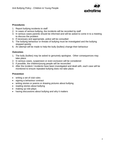

### **Procedures**

- 1. Report bullying incidents to staff
- 2. In cases of serious bullying, the incidents will be recorded by staff
- 3. In serious cases parents should be informed and will be asked to come in to a meeting to discuss the problem
- 4. If necessary and appropriate, police will be consulted
- 5. The bullying behaviour or threats of bullying must be investigated and the bullying stopped quickly
- 6. An attempt will be made to help the bully (bullies) change their behaviour

### **Outcomes**

- 1. The bully (bullies) may be asked to genuinely apologise. Other consequences may take place.
- 2. In serious cases, suspension or even exclusion will be considered
- 3. If possible, the children/young people will be reconciled
- 4. After the incident / incidents have been investigated and dealt with, each case will be monitored to ensure repeated bullying does not take place.

### **Prevention**

- writing a set of club rules
- signing a behaviour contract
- writing stories or poems or drawing pictures about bullying
- reading stories about bullying
- making up role-plays
- having discussions about bullying and why it matters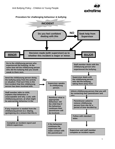